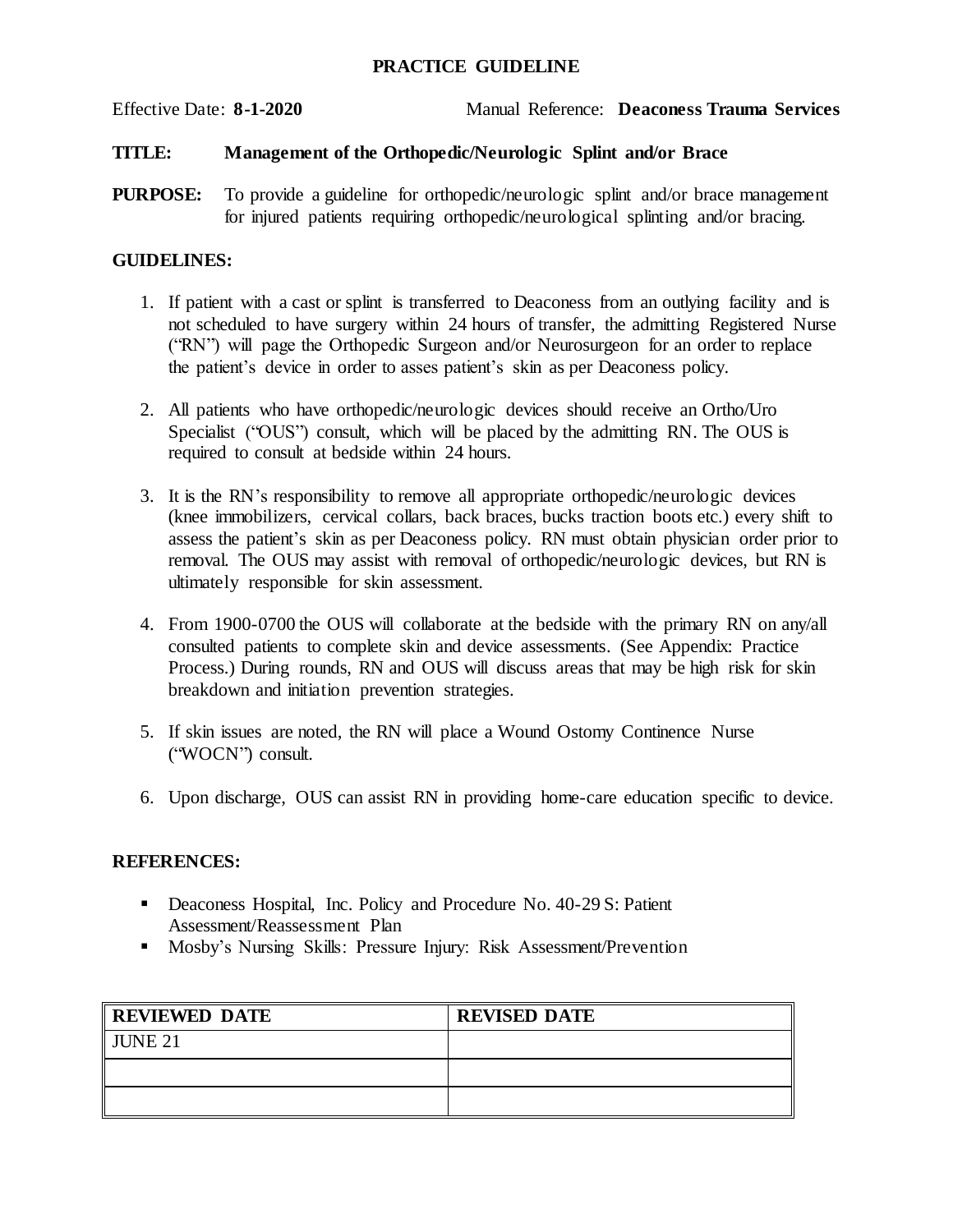## **PRACTICE GUIDELINE**

Effective Date: **8-1-2020** Manual Reference: **Deaconess Trauma Services**

### **TITLE: Management of the Orthopedic/Neurologic Splint and/or Brace**

**PURPOSE:** To provide a guideline for orthopedic/neurologic splint and/or brace management for injured patients requiring orthopedic/neurological splinting and/or bracing.

#### **GUIDELINES:**

- 1. If patient with a cast or splint is transferred to Deaconess from an outlying facility and is not scheduled to have surgery within 24 hours of transfer, the admitting Registered Nurse ("RN") will page the Orthopedic Surgeon and/or Neurosurgeon for an order to replace the patient's device in order to asses patient's skin as per Deaconess policy.
- 2. All patients who have orthopedic/neurologic devices should receive an Ortho/Uro Specialist ("OUS") consult, which will be placed by the admitting RN. The OUS is required to consult at bedside within 24 hours.
- 3. It is the RN's responsibility to remove all appropriate orthopedic/neurologic devices (knee immobilizers, cervical collars, back braces, bucks traction boots etc.) every shift to assess the patient's skin as per Deaconess policy. RN must obtain physician order prior to removal. The OUS may assist with removal of orthopedic/neurologic devices, but RN is ultimately responsible for skin assessment.
- 4. From 1900-0700 the OUS will collaborate at the bedside with the primary RN on any/all consulted patients to complete skin and device assessments. (See Appendix: Practice Process.) During rounds, RN and OUS will discuss areas that may be high risk for skin breakdown and initiation prevention strategies.
- 5. If skin issues are noted, the RN will place a Wound Ostomy Continence Nurse ("WOCN") consult.
- 6. Upon discharge, OUS can assist RN in providing home-care education specific to device.

#### **REFERENCES:**

- Deaconess Hospital, Inc. Policy and Procedure No. 40-29 S: Patient Assessment/Reassessment Plan
- **Mosby's Nursing Skills: Pressure Injury: Risk Assessment/Prevention**

| <b>REVIEWED DATE</b> | <b>REVISED DATE</b> |
|----------------------|---------------------|
| $\parallel$ JUNE 21  |                     |
|                      |                     |
|                      |                     |